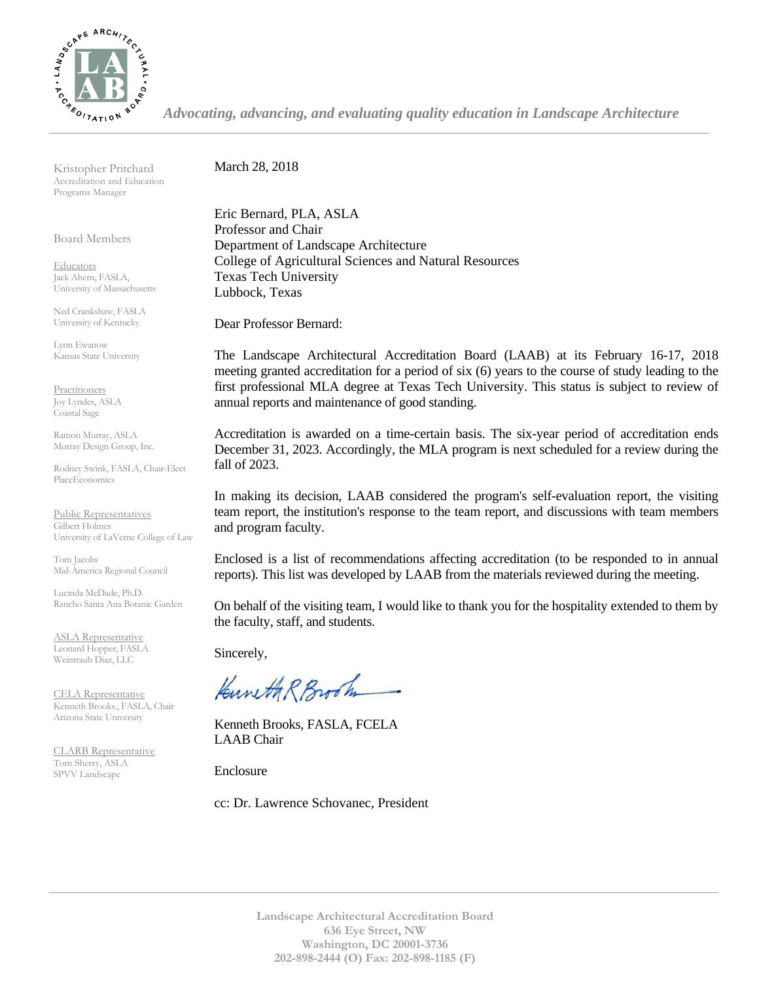

*Advocating, advancing, and evaluating quality education in Landscape Architecture*

Kristopher Pritchard Accreditation and Education Programs Manager

Board Members

**Educators** Jack Ahern, FASLA, University of Massachusetts

Ned Crankshaw, FASLA University of Kentucky

Lynn Ewanow Kansas State University

**Practitioners** Joy Lyndes, ASLA Coastal Sage

Ramon Murray, ASLA Murray Design Group, Inc.

Rodney Swink, FASLA, Chair-Elect PlaceEconomics

Public Representatives Gilbert Holmes University of LaVerne College of Law

Tom Jacobs Mid-America Regional Council

Lucinda McDade, Ph.D. Rancho Santa Ana Botanic Garden

ASLA Representative Leonard Hopper, FASLA Weintraub Diaz, LLC

CELA Representative Kenneth Brooks., FASLA, Chair Arizona State University

CLARB Representative Tom Sherry, ASLA SPVV Landscape

March 28, 2018

Eric Bernard, PLA, ASLA Professor and Chair Department of Landscape Architecture College of Agricultural Sciences and Natural Resources Texas Tech University Lubbock, Texas

Dear Professor Bernard:

The Landscape Architectural Accreditation Board (LAAB) at its February 16-17, 2018 meeting granted accreditation for a period of six (6) years to the course of study leading to the first professional MLA degree at Texas Tech University. This status is subject to review of annual reports and maintenance of good standing.

Accreditation is awarded on a time-certain basis. The six-year period of accreditation ends December 31, 2023. Accordingly, the MLA program is next scheduled for a review during the fall of 2023.

In making its decision, LAAB considered the program's self-evaluation report, the visiting team report, the institution's response to the team report, and discussions with team members and program faculty.

Enclosed is a list of recommendations affecting accreditation (to be responded to in annual reports). This list was developed by LAAB from the materials reviewed during the meeting.

On behalf of the visiting team, I would like to thank you for the hospitality extended to them by the faculty, staff, and students.

Sincerely,

Kuneth R Brook

Kenneth Brooks, FASLA, FCELA LAAB Chair

Enclosure

cc: Dr. Lawrence Schovanec, President

**Landscape Architectural Accreditation Board 636 Eye Street, NW Washington, DC 20001-3736 202-898-2444 (O) Fax: 202-898-1185 (F)**